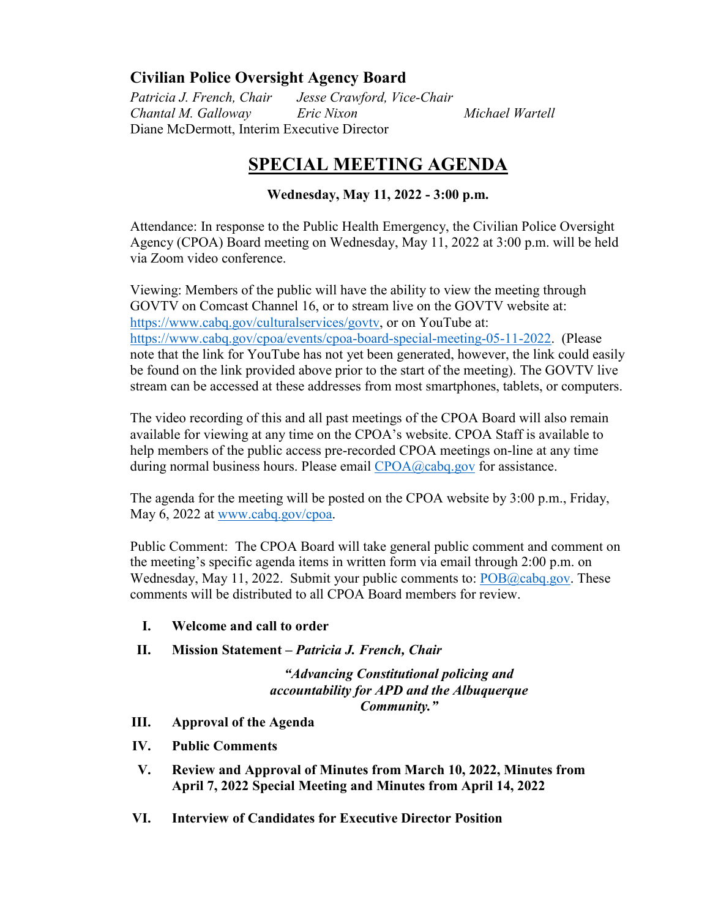## **Civilian Police Oversight Agency Board**

*Patricia J. French, Chair Jesse Crawford, Vice-Chair Chantal M. Galloway Eric Nixon Michael Wartell* Diane McDermott, Interim Executive Director

## **SPECIAL MEETING AGENDA**

## **Wednesday, May 11, 2022 - 3:00 p.m.**

Attendance: In response to the Public Health Emergency, the Civilian Police Oversight Agency (CPOA) Board meeting on Wednesday, May 11, 2022 at 3:00 p.m. will be held via Zoom video conference.

Viewing: Members of the public will have the ability to view the meeting through GOVTV on Comcast Channel 16, or to stream live on the GOVTV website at: [https://www.cabq.gov/culturalservices/govtv,](https://www.cabq.gov/culturalservices/govtv) or on YouTube at: [https://www.cabq.gov/cpoa/events/cpoa-board-special-meeting-05-11-2022.](https://www.cabq.gov/cpoa/events/cpoa-board-special-meeting-05-11-2022) (Please note that the link for YouTube has not yet been generated, however, the link could easily be found on the link provided above prior to the start of the meeting). The GOVTV live stream can be accessed at these addresses from most smartphones, tablets, or computers.

The video recording of this and all past meetings of the CPOA Board will also remain available for viewing at any time on the CPOA's website. CPOA Staff is available to help members of the public access pre-recorded CPOA meetings on-line at any time during normal business hours. Please email [CPOA@cabq.gov](mailto:CPOA@cabq.gov?subject=CPOA%20Board%20Meeting%20Assistance%2004-09-2020) for assistance.

The agenda for the meeting will be posted on the CPOA website by 3:00 p.m., Friday, May 6, 2022 at [www.cabq.gov/cpoa.](http://www.cabq.gov/cpoa)

Public Comment: The CPOA Board will take general public comment and comment on the meeting's specific agenda items in written form via email through 2:00 p.m. on Wednesday, May 11, 2022. Submit your public comments to: [POB@cabq.gov.](mailto:POB@cabq.gov?subject=Public%20Comment:%20CPOA%20Board%20Meeting%2004-09-2020) These comments will be distributed to all CPOA Board members for review.

- **I. Welcome and call to order**
- **II. Mission Statement –** *Patricia J. French, Chair*

*"Advancing Constitutional policing and accountability for APD and the Albuquerque Community."*

- **III. Approval of the Agenda**
- **IV. Public Comments**
- **V. Review and Approval of Minutes from March 10, 2022, Minutes from April 7, 2022 Special Meeting and Minutes from April 14, 2022**
- **VI. Interview of Candidates for Executive Director Position**